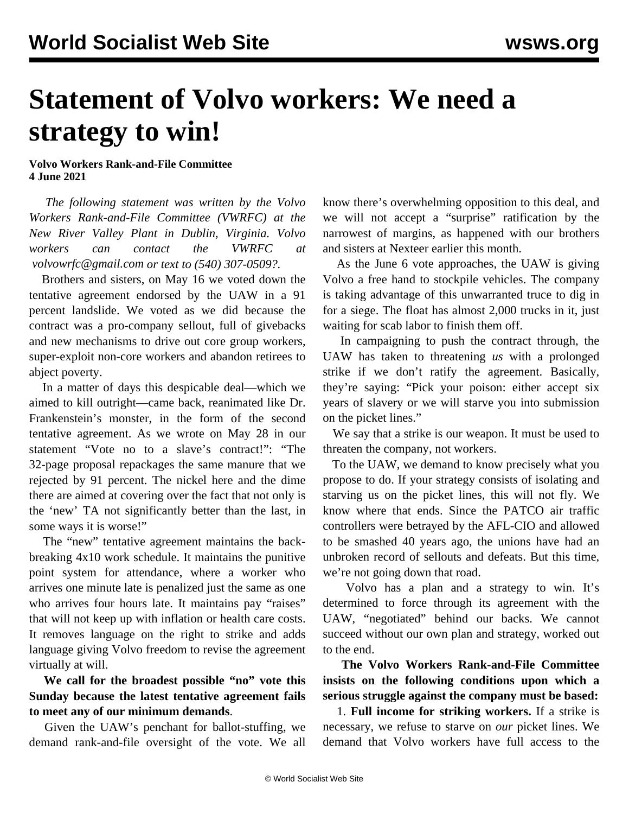## **Statement of Volvo workers: We need a strategy to win!**

**Volvo Workers Rank-and-File Committee 4 June 2021**

 *The following statement was written by the Volvo Workers Rank-and-File Committee (VWRFC) at the New River Valley Plant in Dublin, Virginia. Volvo workers can contact the VWRFC at [volvowrfc@gmail.com](mailto:volvowrfc@gmail.com) or text to (540) 307-0509?.*

 Brothers and sisters, on May 16 we voted down the tentative agreement endorsed by the UAW in a 91 percent landslide. We voted as we did because the contract was a pro-company sellout, full of givebacks and new mechanisms to drive out core group workers, super-exploit non-core workers and abandon retirees to abject poverty.

 In a matter of days this despicable deal—which we aimed to kill outright—came back, reanimated like Dr. Frankenstein's monster, in the form of the second tentative agreement. As we wrote on May 28 in our statement "Vote no to a slave's contract!": "The 32-page proposal repackages the same manure that we rejected by 91 percent. The nickel here and the dime there are aimed at covering over the fact that not only is the 'new' TA not significantly better than the last, in some ways it is worse!"

 The "new" tentative agreement maintains the backbreaking 4x10 work schedule. It maintains the punitive point system for attendance, where a worker who arrives one minute late is penalized just the same as one who arrives four hours late. It maintains pay "raises" that will not keep up with inflation or health care costs. It removes language on the right to strike and adds language giving Volvo freedom to revise the agreement virtually at will.

 **We call for the broadest possible "no" vote this Sunday because the latest tentative agreement fails to meet any of our minimum demands**.

 Given the UAW's penchant for ballot-stuffing, we demand rank-and-file oversight of the vote. We all know there's overwhelming opposition to this deal, and we will not accept a "surprise" ratification by the narrowest of margins, as happened with our brothers and sisters at Nexteer earlier this month.

 As the June 6 vote approaches, the UAW is giving Volvo a free hand to stockpile vehicles. The company is taking advantage of this unwarranted truce to dig in for a siege. The float has almost 2,000 trucks in it, just waiting for scab labor to finish them off.

 In campaigning to push the contract through, the UAW has taken to threatening *us* with a prolonged strike if we don't ratify the agreement. Basically, they're saying: "Pick your poison: either accept six years of slavery or we will starve you into submission on the picket lines."

 We say that a strike is our weapon. It must be used to threaten the company, not workers.

 To the UAW, we demand to know precisely what you propose to do. If your strategy consists of isolating and starving us on the picket lines, this will not fly. We know where that ends. Since the PATCO air traffic controllers were betrayed by the AFL-CIO and allowed to be smashed 40 years ago, the unions have had an unbroken record of sellouts and defeats. But this time, we're not going down that road.

 Volvo has a plan and a strategy to win. It's determined to force through its agreement with the UAW, "negotiated" behind our backs. We cannot succeed without our own plan and strategy, worked out to the end.

 **The Volvo Workers Rank-and-File Committee insists on the following conditions upon which a serious struggle against the company must be based:**

 1. **Full income for striking workers.** If a strike is necessary, we refuse to starve on *our* picket lines. We demand that Volvo workers have full access to the